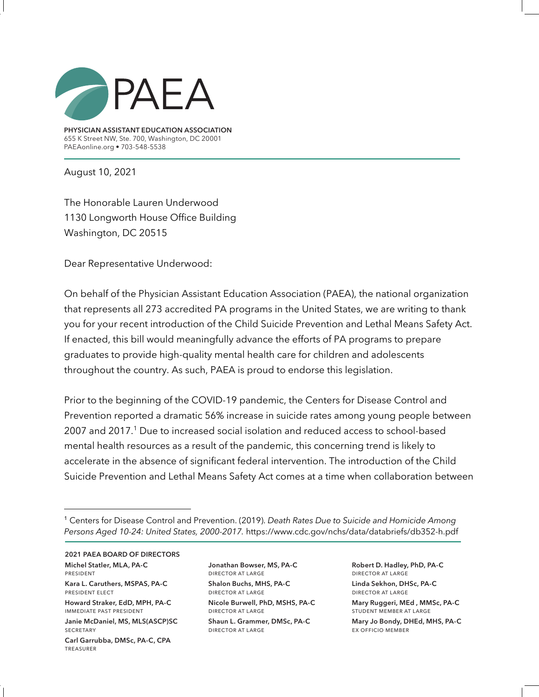

**PHYSICIAN ASSISTANT EDUCATION ASSOCIATION** 655 K Street NW, Ste. 700, Washington, DC 20001 PAEAonline.org • 703-548-5538

August 10, 2021

The Honorable Lauren Underwood 1130 Longworth House Office Building Washington, DC 20515

Dear Representative Underwood:

On behalf of the Physician Assistant Education Association (PAEA), the national organization that represents all 273 accredited PA programs in the United States, we are writing to thank you for your recent introduction of the Child Suicide Prevention and Lethal Means Safety Act. If enacted, this bill would meaningfully advance the efforts of PA programs to prepare graduates to provide high-quality mental health care for children and adolescents throughout the country. As such, PAEA is proud to endorse this legislation.

Prior to the beginning of the COVID-19 pandemic, the Centers for Disease Control and Prevention reported a dramatic 56% increase in suicide rates among young people between 2007 and 2017.1 Due to increased social isolation and reduced access to school-based mental health resources as a result of the pandemic, this concerning trend is likely to accelerate in the absence of significant federal intervention. The introduction of the Child Suicide Prevention and Lethal Means Safety Act comes at a time when collaboration between

**2021 PAEA BOARD OF DIRECTORS Michel Statler, MLA, PA-C**  president **Kara L. Caruthers, MSPAS, PA-C** president elect **Howard Straker, EdD, MPH, PA-C** immediate past president

**Janie McDaniel, MS, MLS(ASCP)SC SECRETARY** 

**Carl Garrubba, DMSc, PA-C, CPA**  treasurer

**Jonathan Bowser, MS, PA-C** director at large **Shalon Buchs, MHS, PA-C**

director at large **Nicole Burwell, PhD, MSHS, PA-C** director at large **Shaun L. Grammer, DMSc, PA-C** director at large

**Robert D. Hadley, PhD, PA-C** director at large **Linda Sekhon, DHSc, PA-C**  director at large

**Mary Ruggeri, MEd , MMSc, PA-C**  student member at large

**Mary Jo Bondy, DHEd, MHS, PA-C** ex officio member

<sup>1</sup> Centers for Disease Control and Prevention. (2019). *Death Rates Due to Suicide and Homicide Among Persons Aged 10-24: United States, 2000-2017.* https://www.cdc.gov/nchs/data/databriefs/db352-h.pdf